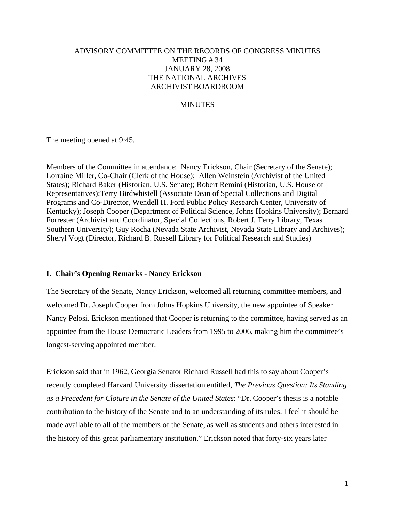# ADVISORY COMMITTEE ON THE RECORDS OF CONGRESS MINUTES MEETING # 34 JANUARY 28, 2008 THE NATIONAL ARCHIVES ARCHIVIST BOARDROOM

## **MINUTES**

The meeting opened at 9:45.

Members of the Committee in attendance: Nancy Erickson, Chair (Secretary of the Senate); Lorraine Miller, Co-Chair (Clerk of the House); Allen Weinstein (Archivist of the United States); Richard Baker (Historian, U.S. Senate); Robert Remini (Historian, U.S. House of Representatives);Terry Birdwhistell (Associate Dean of Special Collections and Digital Programs and Co-Director, Wendell H. Ford Public Policy Research Center, University of Kentucky); Joseph Cooper (Department of Political Science, Johns Hopkins University); Bernard Forrester (Archivist and Coordinator, Special Collections, Robert J. Terry Library, Texas Southern University); Guy Rocha (Nevada State Archivist, Nevada State Library and Archives); Sheryl Vogt (Director, Richard B. Russell Library for Political Research and Studies)

### **I. Chair's Opening Remarks - Nancy Erickson**

The Secretary of the Senate, Nancy Erickson, welcomed all returning committee members, and welcomed Dr. Joseph Cooper from Johns Hopkins University, the new appointee of Speaker Nancy Pelosi. Erickson mentioned that Cooper is returning to the committee, having served as an appointee from the House Democratic Leaders from 1995 to 2006, making him the committee's longest-serving appointed member.

Erickson said that in 1962, Georgia Senator Richard Russell had this to say about Cooper's recently completed Harvard University dissertation entitled, *The Previous Question: Its Standing as a Precedent for Cloture in the Senate of the United States*: "Dr. Cooper's thesis is a notable contribution to the history of the Senate and to an understanding of its rules. I feel it should be made available to all of the members of the Senate, as well as students and others interested in the history of this great parliamentary institution." Erickson noted that forty-six years later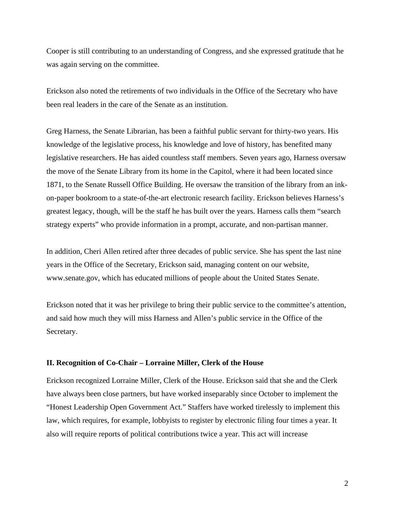Cooper is still contributing to an understanding of Congress, and she expressed gratitude that he was again serving on the committee.

Erickson also noted the retirements of two individuals in the Office of the Secretary who have been real leaders in the care of the Senate as an institution.

Greg Harness, the Senate Librarian, has been a faithful public servant for thirty-two years. His knowledge of the legislative process, his knowledge and love of history, has benefited many legislative researchers. He has aided countless staff members. Seven years ago, Harness oversaw the move of the Senate Library from its home in the Capitol, where it had been located since 1871, to the Senate Russell Office Building. He oversaw the transition of the library from an inkon-paper bookroom to a state-of-the-art electronic research facility. Erickson believes Harness's greatest legacy, though, will be the staff he has built over the years. Harness calls them "search strategy experts" who provide information in a prompt, accurate, and non-partisan manner.

In addition, Cheri Allen retired after three decades of public service. She has spent the last nine years in the Office of the Secretary, Erickson said, managing content on our website, www.senate.gov, which has educated millions of people about the United States Senate.

Erickson noted that it was her privilege to bring their public service to the committee's attention, and said how much they will miss Harness and Allen's public service in the Office of the Secretary.

### **II. Recognition of Co-Chair – Lorraine Miller, Clerk of the House**

Erickson recognized Lorraine Miller, Clerk of the House. Erickson said that she and the Clerk have always been close partners, but have worked inseparably since October to implement the "Honest Leadership Open Government Act." Staffers have worked tirelessly to implement this law, which requires, for example, lobbyists to register by electronic filing four times a year. It also will require reports of political contributions twice a year. This act will increase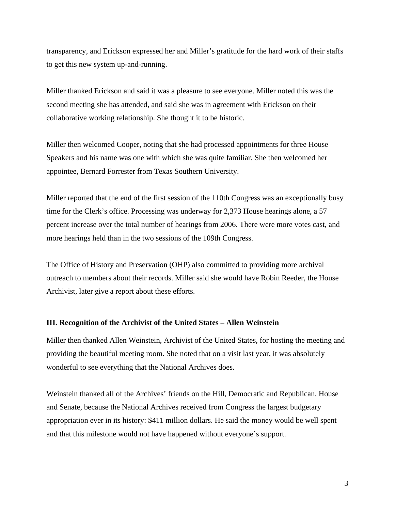transparency, and Erickson expressed her and Miller's gratitude for the hard work of their staffs to get this new system up-and-running.

Miller thanked Erickson and said it was a pleasure to see everyone. Miller noted this was the second meeting she has attended, and said she was in agreement with Erickson on their collaborative working relationship. She thought it to be historic.

Miller then welcomed Cooper, noting that she had processed appointments for three House Speakers and his name was one with which she was quite familiar. She then welcomed her appointee, Bernard Forrester from Texas Southern University.

Miller reported that the end of the first session of the 110th Congress was an exceptionally busy time for the Clerk's office. Processing was underway for 2,373 House hearings alone, a 57 percent increase over the total number of hearings from 2006. There were more votes cast, and more hearings held than in the two sessions of the 109th Congress.

The Office of History and Preservation (OHP) also committed to providing more archival outreach to members about their records. Miller said she would have Robin Reeder, the House Archivist, later give a report about these efforts.

#### **III. Recognition of the Archivist of the United States – Allen Weinstein**

Miller then thanked Allen Weinstein, Archivist of the United States, for hosting the meeting and providing the beautiful meeting room. She noted that on a visit last year, it was absolutely wonderful to see everything that the National Archives does.

Weinstein thanked all of the Archives' friends on the Hill, Democratic and Republican, House and Senate, because the National Archives received from Congress the largest budgetary appropriation ever in its history: \$411 million dollars. He said the money would be well spent and that this milestone would not have happened without everyone's support.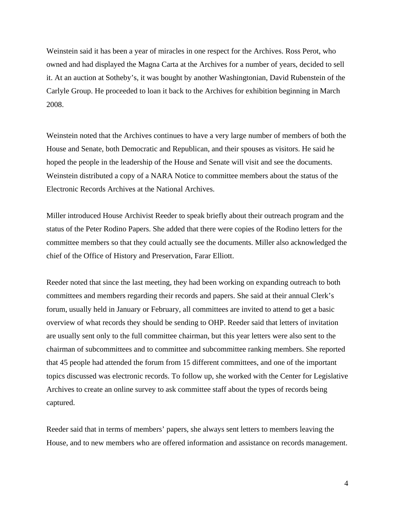Weinstein said it has been a year of miracles in one respect for the Archives. Ross Perot, who owned and had displayed the Magna Carta at the Archives for a number of years, decided to sell it. At an auction at Sotheby's, it was bought by another Washingtonian, David Rubenstein of the Carlyle Group. He proceeded to loan it back to the Archives for exhibition beginning in March 2008.

Weinstein noted that the Archives continues to have a very large number of members of both the House and Senate, both Democratic and Republican, and their spouses as visitors. He said he hoped the people in the leadership of the House and Senate will visit and see the documents. Weinstein distributed a copy of a NARA Notice to committee members about the status of the Electronic Records Archives at the National Archives.

Miller introduced House Archivist Reeder to speak briefly about their outreach program and the status of the Peter Rodino Papers. She added that there were copies of the Rodino letters for the committee members so that they could actually see the documents. Miller also acknowledged the chief of the Office of History and Preservation, Farar Elliott.

Reeder noted that since the last meeting, they had been working on expanding outreach to both committees and members regarding their records and papers. She said at their annual Clerk's forum, usually held in January or February, all committees are invited to attend to get a basic overview of what records they should be sending to OHP. Reeder said that letters of invitation are usually sent only to the full committee chairman, but this year letters were also sent to the chairman of subcommittees and to committee and subcommittee ranking members. She reported that 45 people had attended the forum from 15 different committees, and one of the important topics discussed was electronic records. To follow up, she worked with the Center for Legislative Archives to create an online survey to ask committee staff about the types of records being captured.

Reeder said that in terms of members' papers, she always sent letters to members leaving the House, and to new members who are offered information and assistance on records management.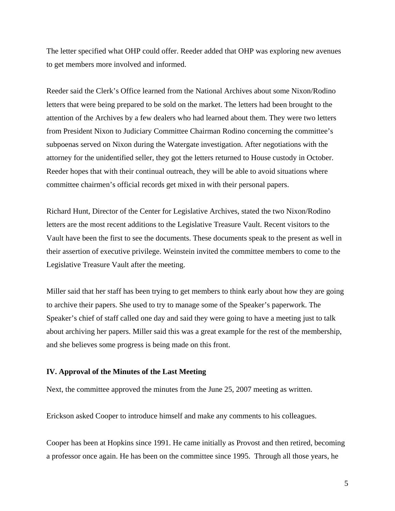The letter specified what OHP could offer. Reeder added that OHP was exploring new avenues to get members more involved and informed.

Reeder said the Clerk's Office learned from the National Archives about some Nixon/Rodino letters that were being prepared to be sold on the market. The letters had been brought to the attention of the Archives by a few dealers who had learned about them. They were two letters from President Nixon to Judiciary Committee Chairman Rodino concerning the committee's subpoenas served on Nixon during the Watergate investigation. After negotiations with the attorney for the unidentified seller, they got the letters returned to House custody in October. Reeder hopes that with their continual outreach, they will be able to avoid situations where committee chairmen's official records get mixed in with their personal papers.

Richard Hunt, Director of the Center for Legislative Archives, stated the two Nixon/Rodino letters are the most recent additions to the Legislative Treasure Vault. Recent visitors to the Vault have been the first to see the documents. These documents speak to the present as well in their assertion of executive privilege. Weinstein invited the committee members to come to the Legislative Treasure Vault after the meeting.

Miller said that her staff has been trying to get members to think early about how they are going to archive their papers. She used to try to manage some of the Speaker's paperwork. The Speaker's chief of staff called one day and said they were going to have a meeting just to talk about archiving her papers. Miller said this was a great example for the rest of the membership, and she believes some progress is being made on this front.

#### **IV. Approval of the Minutes of the Last Meeting**

Next, the committee approved the minutes from the June 25, 2007 meeting as written.

Erickson asked Cooper to introduce himself and make any comments to his colleagues.

Cooper has been at Hopkins since 1991. He came initially as Provost and then retired, becoming a professor once again. He has been on the committee since 1995. Through all those years, he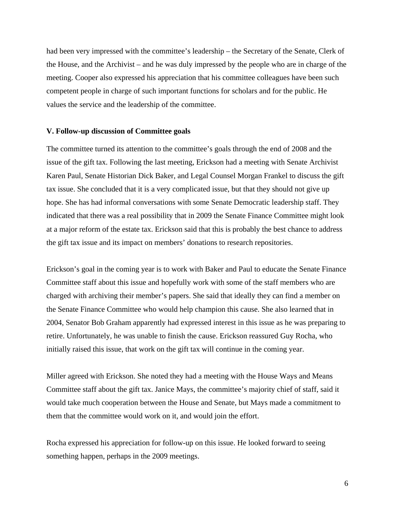had been very impressed with the committee's leadership – the Secretary of the Senate, Clerk of the House, and the Archivist – and he was duly impressed by the people who are in charge of the meeting. Cooper also expressed his appreciation that his committee colleagues have been such competent people in charge of such important functions for scholars and for the public. He values the service and the leadership of the committee.

### **V. Follow-up discussion of Committee goals**

The committee turned its attention to the committee's goals through the end of 2008 and the issue of the gift tax. Following the last meeting, Erickson had a meeting with Senate Archivist Karen Paul, Senate Historian Dick Baker, and Legal Counsel Morgan Frankel to discuss the gift tax issue. She concluded that it is a very complicated issue, but that they should not give up hope. She has had informal conversations with some Senate Democratic leadership staff. They indicated that there was a real possibility that in 2009 the Senate Finance Committee might look at a major reform of the estate tax. Erickson said that this is probably the best chance to address the gift tax issue and its impact on members' donations to research repositories.

Erickson's goal in the coming year is to work with Baker and Paul to educate the Senate Finance Committee staff about this issue and hopefully work with some of the staff members who are charged with archiving their member's papers. She said that ideally they can find a member on the Senate Finance Committee who would help champion this cause. She also learned that in 2004, Senator Bob Graham apparently had expressed interest in this issue as he was preparing to retire. Unfortunately, he was unable to finish the cause. Erickson reassured Guy Rocha, who initially raised this issue, that work on the gift tax will continue in the coming year.

Miller agreed with Erickson. She noted they had a meeting with the House Ways and Means Committee staff about the gift tax. Janice Mays, the committee's majority chief of staff, said it would take much cooperation between the House and Senate, but Mays made a commitment to them that the committee would work on it, and would join the effort.

Rocha expressed his appreciation for follow-up on this issue. He looked forward to seeing something happen, perhaps in the 2009 meetings.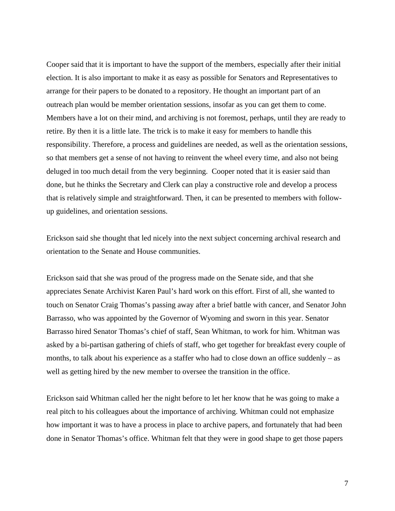Cooper said that it is important to have the support of the members, especially after their initial election. It is also important to make it as easy as possible for Senators and Representatives to arrange for their papers to be donated to a repository. He thought an important part of an outreach plan would be member orientation sessions, insofar as you can get them to come. Members have a lot on their mind, and archiving is not foremost, perhaps, until they are ready to retire. By then it is a little late. The trick is to make it easy for members to handle this responsibility. Therefore, a process and guidelines are needed, as well as the orientation sessions, so that members get a sense of not having to reinvent the wheel every time, and also not being deluged in too much detail from the very beginning. Cooper noted that it is easier said than done, but he thinks the Secretary and Clerk can play a constructive role and develop a process that is relatively simple and straightforward. Then, it can be presented to members with followup guidelines, and orientation sessions.

Erickson said she thought that led nicely into the next subject concerning archival research and orientation to the Senate and House communities.

Erickson said that she was proud of the progress made on the Senate side, and that she appreciates Senate Archivist Karen Paul's hard work on this effort. First of all, she wanted to touch on Senator Craig Thomas's passing away after a brief battle with cancer, and Senator John Barrasso, who was appointed by the Governor of Wyoming and sworn in this year. Senator Barrasso hired Senator Thomas's chief of staff, Sean Whitman, to work for him. Whitman was asked by a bi-partisan gathering of chiefs of staff, who get together for breakfast every couple of months, to talk about his experience as a staffer who had to close down an office suddenly – as well as getting hired by the new member to oversee the transition in the office.

Erickson said Whitman called her the night before to let her know that he was going to make a real pitch to his colleagues about the importance of archiving. Whitman could not emphasize how important it was to have a process in place to archive papers, and fortunately that had been done in Senator Thomas's office. Whitman felt that they were in good shape to get those papers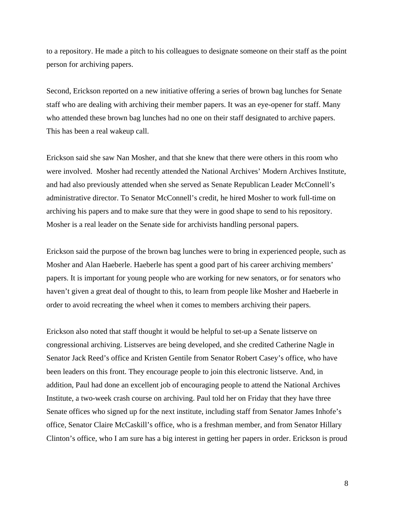to a repository. He made a pitch to his colleagues to designate someone on their staff as the point person for archiving papers.

Second, Erickson reported on a new initiative offering a series of brown bag lunches for Senate staff who are dealing with archiving their member papers. It was an eye-opener for staff. Many who attended these brown bag lunches had no one on their staff designated to archive papers. This has been a real wakeup call.

Erickson said she saw Nan Mosher, and that she knew that there were others in this room who were involved. Mosher had recently attended the National Archives' Modern Archives Institute, and had also previously attended when she served as Senate Republican Leader McConnell's administrative director. To Senator McConnell's credit, he hired Mosher to work full-time on archiving his papers and to make sure that they were in good shape to send to his repository. Mosher is a real leader on the Senate side for archivists handling personal papers.

Erickson said the purpose of the brown bag lunches were to bring in experienced people, such as Mosher and Alan Haeberle. Haeberle has spent a good part of his career archiving members' papers. It is important for young people who are working for new senators, or for senators who haven't given a great deal of thought to this, to learn from people like Mosher and Haeberle in order to avoid recreating the wheel when it comes to members archiving their papers.

Erickson also noted that staff thought it would be helpful to set-up a Senate listserve on congressional archiving. Listserves are being developed, and she credited Catherine Nagle in Senator Jack Reed's office and Kristen Gentile from Senator Robert Casey's office, who have been leaders on this front. They encourage people to join this electronic listserve. And, in addition, Paul had done an excellent job of encouraging people to attend the National Archives Institute, a two-week crash course on archiving. Paul told her on Friday that they have three Senate offices who signed up for the next institute, including staff from Senator James Inhofe's office, Senator Claire McCaskill's office, who is a freshman member, and from Senator Hillary Clinton's office, who I am sure has a big interest in getting her papers in order. Erickson is proud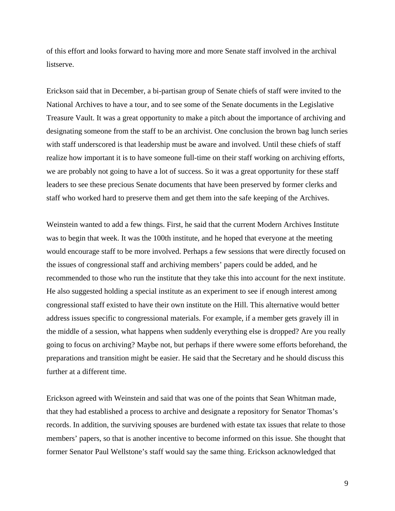of this effort and looks forward to having more and more Senate staff involved in the archival listserve.

Erickson said that in December, a bi-partisan group of Senate chiefs of staff were invited to the National Archives to have a tour, and to see some of the Senate documents in the Legislative Treasure Vault. It was a great opportunity to make a pitch about the importance of archiving and designating someone from the staff to be an archivist. One conclusion the brown bag lunch series with staff underscored is that leadership must be aware and involved. Until these chiefs of staff realize how important it is to have someone full-time on their staff working on archiving efforts, we are probably not going to have a lot of success. So it was a great opportunity for these staff leaders to see these precious Senate documents that have been preserved by former clerks and staff who worked hard to preserve them and get them into the safe keeping of the Archives.

Weinstein wanted to add a few things. First, he said that the current Modern Archives Institute was to begin that week. It was the 100th institute, and he hoped that everyone at the meeting would encourage staff to be more involved. Perhaps a few sessions that were directly focused on the issues of congressional staff and archiving members' papers could be added, and he recommended to those who run the institute that they take this into account for the next institute. He also suggested holding a special institute as an experiment to see if enough interest among congressional staff existed to have their own institute on the Hill. This alternative would better address issues specific to congressional materials. For example, if a member gets gravely ill in the middle of a session, what happens when suddenly everything else is dropped? Are you really going to focus on archiving? Maybe not, but perhaps if there wwere some efforts beforehand, the preparations and transition might be easier. He said that the Secretary and he should discuss this further at a different time.

Erickson agreed with Weinstein and said that was one of the points that Sean Whitman made, that they had established a process to archive and designate a repository for Senator Thomas's records. In addition, the surviving spouses are burdened with estate tax issues that relate to those members' papers, so that is another incentive to become informed on this issue. She thought that former Senator Paul Wellstone's staff would say the same thing. Erickson acknowledged that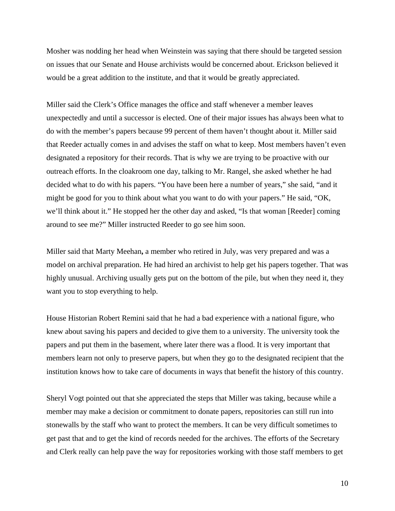Mosher was nodding her head when Weinstein was saying that there should be targeted session on issues that our Senate and House archivists would be concerned about. Erickson believed it would be a great addition to the institute, and that it would be greatly appreciated.

Miller said the Clerk's Office manages the office and staff whenever a member leaves unexpectedly and until a successor is elected. One of their major issues has always been what to do with the member's papers because 99 percent of them haven't thought about it. Miller said that Reeder actually comes in and advises the staff on what to keep. Most members haven't even designated a repository for their records. That is why we are trying to be proactive with our outreach efforts. In the cloakroom one day, talking to Mr. Rangel, she asked whether he had decided what to do with his papers. "You have been here a number of years," she said, "and it might be good for you to think about what you want to do with your papers." He said, "OK, we'll think about it." He stopped her the other day and asked, "Is that woman [Reeder] coming around to see me?" Miller instructed Reeder to go see him soon.

Miller said that Marty Meehan**,** a member who retired in July, was very prepared and was a model on archival preparation. He had hired an archivist to help get his papers together. That was highly unusual. Archiving usually gets put on the bottom of the pile, but when they need it, they want you to stop everything to help.

House Historian Robert Remini said that he had a bad experience with a national figure, who knew about saving his papers and decided to give them to a university. The university took the papers and put them in the basement, where later there was a flood. It is very important that members learn not only to preserve papers, but when they go to the designated recipient that the institution knows how to take care of documents in ways that benefit the history of this country.

Sheryl Vogt pointed out that she appreciated the steps that Miller was taking, because while a member may make a decision or commitment to donate papers, repositories can still run into stonewalls by the staff who want to protect the members. It can be very difficult sometimes to get past that and to get the kind of records needed for the archives. The efforts of the Secretary and Clerk really can help pave the way for repositories working with those staff members to get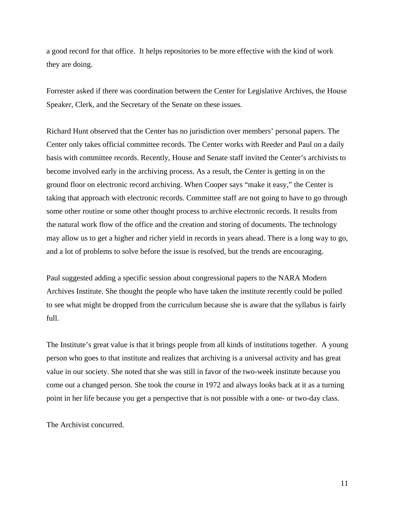a good record for that office. It helps repositories to be more effective with the kind of work they are doing.

Forrester asked if there was coordination between the Center for Legislative Archives, the House Speaker, Clerk, and the Secretary of the Senate on these issues.

Richard Hunt observed that the Center has no jurisdiction over members' personal papers. The Center only takes official committee records. The Center works with Reeder and Paul on a daily basis with committee records. Recently, House and Senate staff invited the Center's archivists to become involved early in the archiving process. As a result, the Center is getting in on the ground floor on electronic record archiving. When Cooper says "make it easy," the Center is taking that approach with electronic records. Committee staff are not going to have to go through some other routine or some other thought process to archive electronic records. It results from the natural work flow of the office and the creation and storing of documents. The technology may allow us to get a higher and richer yield in records in years ahead. There is a long way to go, and a lot of problems to solve before the issue is resolved, but the trends are encouraging.

Paul suggested adding a specific session about congressional papers to the NARA Modern Archives Institute. She thought the people who have taken the institute recently could be polled to see what might be dropped from the curriculum because she is aware that the syllabus is fairly full.

The Institute's great value is that it brings people from all kinds of institutions together. A young person who goes to that institute and realizes that archiving is a universal activity and has great value in our society. She noted that she was still in favor of the two-week institute because you come out a changed person. She took the course in 1972 and always looks back at it as a turning point in her life because you get a perspective that is not possible with a one- or two-day class.

The Archivist concurred.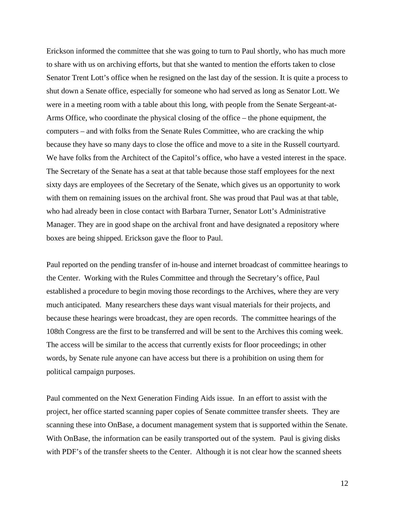Erickson informed the committee that she was going to turn to Paul shortly, who has much more to share with us on archiving efforts, but that she wanted to mention the efforts taken to close Senator Trent Lott's office when he resigned on the last day of the session. It is quite a process to shut down a Senate office, especially for someone who had served as long as Senator Lott. We were in a meeting room with a table about this long, with people from the Senate Sergeant-at-Arms Office, who coordinate the physical closing of the office – the phone equipment, the computers – and with folks from the Senate Rules Committee, who are cracking the whip because they have so many days to close the office and move to a site in the Russell courtyard. We have folks from the Architect of the Capitol's office, who have a vested interest in the space. The Secretary of the Senate has a seat at that table because those staff employees for the next sixty days are employees of the Secretary of the Senate, which gives us an opportunity to work with them on remaining issues on the archival front. She was proud that Paul was at that table, who had already been in close contact with Barbara Turner, Senator Lott's Administrative Manager. They are in good shape on the archival front and have designated a repository where boxes are being shipped. Erickson gave the floor to Paul.

Paul reported on the pending transfer of in-house and internet broadcast of committee hearings to the Center. Working with the Rules Committee and through the Secretary's office, Paul established a procedure to begin moving those recordings to the Archives, where they are very much anticipated. Many researchers these days want visual materials for their projects, and because these hearings were broadcast, they are open records. The committee hearings of the 108th Congress are the first to be transferred and will be sent to the Archives this coming week. The access will be similar to the access that currently exists for floor proceedings; in other words, by Senate rule anyone can have access but there is a prohibition on using them for political campaign purposes.

Paul commented on the Next Generation Finding Aids issue. In an effort to assist with the project, her office started scanning paper copies of Senate committee transfer sheets. They are scanning these into OnBase, a document management system that is supported within the Senate. With OnBase, the information can be easily transported out of the system. Paul is giving disks with PDF's of the transfer sheets to the Center. Although it is not clear how the scanned sheets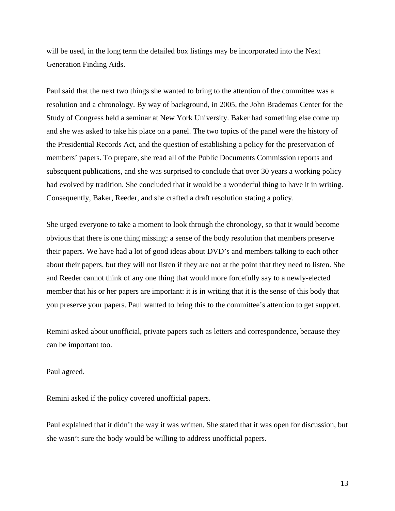will be used, in the long term the detailed box listings may be incorporated into the Next Generation Finding Aids.

Paul said that the next two things she wanted to bring to the attention of the committee was a resolution and a chronology. By way of background, in 2005, the John Brademas Center for the Study of Congress held a seminar at New York University. Baker had something else come up and she was asked to take his place on a panel. The two topics of the panel were the history of the Presidential Records Act, and the question of establishing a policy for the preservation of members' papers. To prepare, she read all of the Public Documents Commission reports and subsequent publications, and she was surprised to conclude that over 30 years a working policy had evolved by tradition. She concluded that it would be a wonderful thing to have it in writing. Consequently, Baker, Reeder, and she crafted a draft resolution stating a policy.

She urged everyone to take a moment to look through the chronology, so that it would become obvious that there is one thing missing: a sense of the body resolution that members preserve their papers. We have had a lot of good ideas about DVD's and members talking to each other about their papers, but they will not listen if they are not at the point that they need to listen. She and Reeder cannot think of any one thing that would more forcefully say to a newly-elected member that his or her papers are important: it is in writing that it is the sense of this body that you preserve your papers. Paul wanted to bring this to the committee's attention to get support.

Remini asked about unofficial, private papers such as letters and correspondence, because they can be important too.

Paul agreed.

Remini asked if the policy covered unofficial papers.

Paul explained that it didn't the way it was written. She stated that it was open for discussion, but she wasn't sure the body would be willing to address unofficial papers.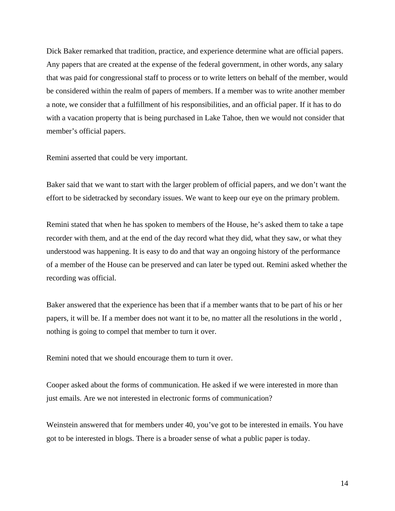Dick Baker remarked that tradition, practice, and experience determine what are official papers. Any papers that are created at the expense of the federal government, in other words, any salary that was paid for congressional staff to process or to write letters on behalf of the member, would be considered within the realm of papers of members. If a member was to write another member a note, we consider that a fulfillment of his responsibilities, and an official paper. If it has to do with a vacation property that is being purchased in Lake Tahoe, then we would not consider that member's official papers.

Remini asserted that could be very important.

Baker said that we want to start with the larger problem of official papers, and we don't want the effort to be sidetracked by secondary issues. We want to keep our eye on the primary problem.

Remini stated that when he has spoken to members of the House, he's asked them to take a tape recorder with them, and at the end of the day record what they did, what they saw, or what they understood was happening. It is easy to do and that way an ongoing history of the performance of a member of the House can be preserved and can later be typed out. Remini asked whether the recording was official.

Baker answered that the experience has been that if a member wants that to be part of his or her papers, it will be. If a member does not want it to be, no matter all the resolutions in the world , nothing is going to compel that member to turn it over.

Remini noted that we should encourage them to turn it over.

Cooper asked about the forms of communication. He asked if we were interested in more than just emails. Are we not interested in electronic forms of communication?

Weinstein answered that for members under 40, you've got to be interested in emails. You have got to be interested in blogs. There is a broader sense of what a public paper is today.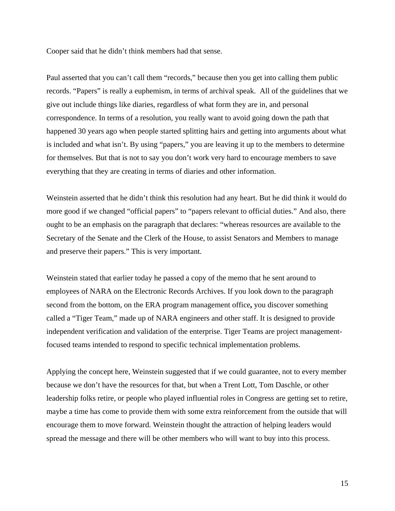Cooper said that he didn't think members had that sense.

Paul asserted that you can't call them "records," because then you get into calling them public records. "Papers" is really a euphemism, in terms of archival speak. All of the guidelines that we give out include things like diaries, regardless of what form they are in, and personal correspondence. In terms of a resolution, you really want to avoid going down the path that happened 30 years ago when people started splitting hairs and getting into arguments about what is included and what isn't. By using "papers," you are leaving it up to the members to determine for themselves. But that is not to say you don't work very hard to encourage members to save everything that they are creating in terms of diaries and other information.

Weinstein asserted that he didn't think this resolution had any heart. But he did think it would do more good if we changed "official papers" to "papers relevant to official duties." And also, there ought to be an emphasis on the paragraph that declares: "whereas resources are available to the Secretary of the Senate and the Clerk of the House, to assist Senators and Members to manage and preserve their papers." This is very important.

Weinstein stated that earlier today he passed a copy of the memo that he sent around to employees of NARA on the Electronic Records Archives. If you look down to the paragraph second from the bottom, on the ERA program management office**,** you discover something called a "Tiger Team," made up of NARA engineers and other staff. It is designed to provide independent verification and validation of the enterprise. Tiger Teams are project managementfocused teams intended to respond to specific technical implementation problems.

Applying the concept here, Weinstein suggested that if we could guarantee, not to every member because we don't have the resources for that, but when a Trent Lott, Tom Daschle, or other leadership folks retire, or people who played influential roles in Congress are getting set to retire, maybe a time has come to provide them with some extra reinforcement from the outside that will encourage them to move forward. Weinstein thought the attraction of helping leaders would spread the message and there will be other members who will want to buy into this process.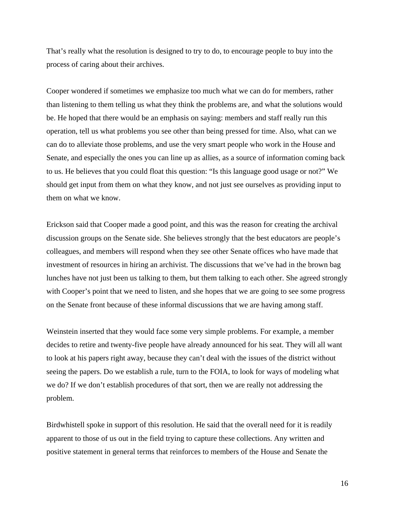That's really what the resolution is designed to try to do, to encourage people to buy into the process of caring about their archives.

Cooper wondered if sometimes we emphasize too much what we can do for members, rather than listening to them telling us what they think the problems are, and what the solutions would be. He hoped that there would be an emphasis on saying: members and staff really run this operation, tell us what problems you see other than being pressed for time. Also, what can we can do to alleviate those problems, and use the very smart people who work in the House and Senate, and especially the ones you can line up as allies, as a source of information coming back to us. He believes that you could float this question: "Is this language good usage or not?" We should get input from them on what they know, and not just see ourselves as providing input to them on what we know.

Erickson said that Cooper made a good point, and this was the reason for creating the archival discussion groups on the Senate side. She believes strongly that the best educators are people's colleagues, and members will respond when they see other Senate offices who have made that investment of resources in hiring an archivist. The discussions that we've had in the brown bag lunches have not just been us talking to them, but them talking to each other. She agreed strongly with Cooper's point that we need to listen, and she hopes that we are going to see some progress on the Senate front because of these informal discussions that we are having among staff.

Weinstein inserted that they would face some very simple problems. For example, a member decides to retire and twenty-five people have already announced for his seat. They will all want to look at his papers right away, because they can't deal with the issues of the district without seeing the papers. Do we establish a rule, turn to the FOIA, to look for ways of modeling what we do? If we don't establish procedures of that sort, then we are really not addressing the problem.

Birdwhistell spoke in support of this resolution. He said that the overall need for it is readily apparent to those of us out in the field trying to capture these collections. Any written and positive statement in general terms that reinforces to members of the House and Senate the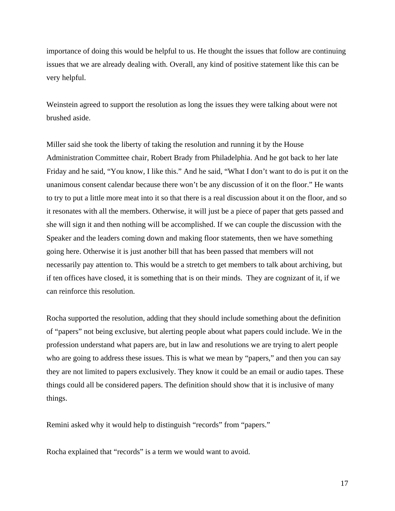importance of doing this would be helpful to us. He thought the issues that follow are continuing issues that we are already dealing with. Overall, any kind of positive statement like this can be very helpful.

Weinstein agreed to support the resolution as long the issues they were talking about were not brushed aside.

Miller said she took the liberty of taking the resolution and running it by the House Administration Committee chair, Robert Brady from Philadelphia. And he got back to her late Friday and he said, "You know, I like this." And he said, "What I don't want to do is put it on the unanimous consent calendar because there won't be any discussion of it on the floor." He wants to try to put a little more meat into it so that there is a real discussion about it on the floor, and so it resonates with all the members. Otherwise, it will just be a piece of paper that gets passed and she will sign it and then nothing will be accomplished. If we can couple the discussion with the Speaker and the leaders coming down and making floor statements, then we have something going here. Otherwise it is just another bill that has been passed that members will not necessarily pay attention to. This would be a stretch to get members to talk about archiving, but if ten offices have closed, it is something that is on their minds. They are cognizant of it, if we can reinforce this resolution.

Rocha supported the resolution, adding that they should include something about the definition of "papers" not being exclusive, but alerting people about what papers could include. We in the profession understand what papers are, but in law and resolutions we are trying to alert people who are going to address these issues. This is what we mean by "papers," and then you can say they are not limited to papers exclusively. They know it could be an email or audio tapes. These things could all be considered papers. The definition should show that it is inclusive of many things.

Remini asked why it would help to distinguish "records" from "papers."

Rocha explained that "records" is a term we would want to avoid.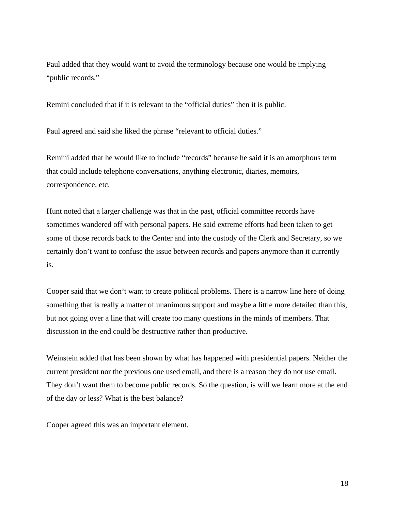Paul added that they would want to avoid the terminology because one would be implying "public records."

Remini concluded that if it is relevant to the "official duties" then it is public.

Paul agreed and said she liked the phrase "relevant to official duties."

Remini added that he would like to include "records" because he said it is an amorphous term that could include telephone conversations, anything electronic, diaries, memoirs, correspondence, etc.

Hunt noted that a larger challenge was that in the past, official committee records have sometimes wandered off with personal papers. He said extreme efforts had been taken to get some of those records back to the Center and into the custody of the Clerk and Secretary, so we certainly don't want to confuse the issue between records and papers anymore than it currently is.

Cooper said that we don't want to create political problems. There is a narrow line here of doing something that is really a matter of unanimous support and maybe a little more detailed than this, but not going over a line that will create too many questions in the minds of members. That discussion in the end could be destructive rather than productive.

Weinstein added that has been shown by what has happened with presidential papers. Neither the current president nor the previous one used email, and there is a reason they do not use email. They don't want them to become public records. So the question, is will we learn more at the end of the day or less? What is the best balance?

Cooper agreed this was an important element.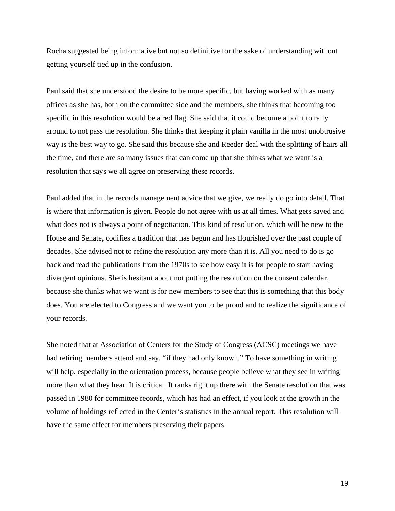Rocha suggested being informative but not so definitive for the sake of understanding without getting yourself tied up in the confusion.

Paul said that she understood the desire to be more specific, but having worked with as many offices as she has, both on the committee side and the members, she thinks that becoming too specific in this resolution would be a red flag. She said that it could become a point to rally around to not pass the resolution. She thinks that keeping it plain vanilla in the most unobtrusive way is the best way to go. She said this because she and Reeder deal with the splitting of hairs all the time, and there are so many issues that can come up that she thinks what we want is a resolution that says we all agree on preserving these records.

Paul added that in the records management advice that we give, we really do go into detail. That is where that information is given. People do not agree with us at all times. What gets saved and what does not is always a point of negotiation. This kind of resolution, which will be new to the House and Senate, codifies a tradition that has begun and has flourished over the past couple of decades. She advised not to refine the resolution any more than it is. All you need to do is go back and read the publications from the 1970s to see how easy it is for people to start having divergent opinions. She is hesitant about not putting the resolution on the consent calendar, because she thinks what we want is for new members to see that this is something that this body does. You are elected to Congress and we want you to be proud and to realize the significance of your records.

She noted that at Association of Centers for the Study of Congress (ACSC) meetings we have had retiring members attend and say, "if they had only known." To have something in writing will help, especially in the orientation process, because people believe what they see in writing more than what they hear. It is critical. It ranks right up there with the Senate resolution that was passed in 1980 for committee records, which has had an effect, if you look at the growth in the volume of holdings reflected in the Center's statistics in the annual report. This resolution will have the same effect for members preserving their papers.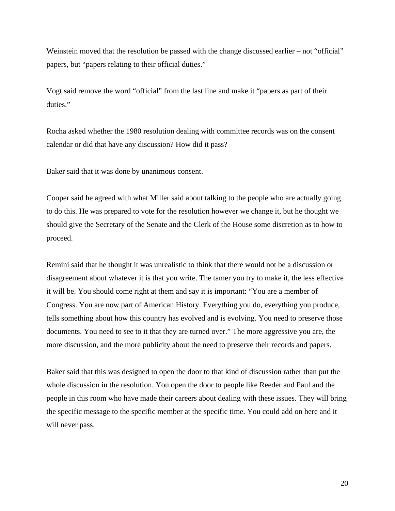Weinstein moved that the resolution be passed with the change discussed earlier – not "official" papers, but "papers relating to their official duties."

Vogt said remove the word "official" from the last line and make it "papers as part of their duties."

Rocha asked whether the 1980 resolution dealing with committee records was on the consent calendar or did that have any discussion? How did it pass?

Baker said that it was done by unanimous consent.

Cooper said he agreed with what Miller said about talking to the people who are actually going to do this. He was prepared to vote for the resolution however we change it, but he thought we should give the Secretary of the Senate and the Clerk of the House some discretion as to how to proceed.

Remini said that he thought it was unrealistic to think that there would not be a discussion or disagreement about whatever it is that you write. The tamer you try to make it, the less effective it will be. You should come right at them and say it is important: "You are a member of Congress. You are now part of American History. Everything you do, everything you produce, tells something about how this country has evolved and is evolving. You need to preserve those documents. You need to see to it that they are turned over." The more aggressive you are, the more discussion, and the more publicity about the need to preserve their records and papers.

Baker said that this was designed to open the door to that kind of discussion rather than put the whole discussion in the resolution. You open the door to people like Reeder and Paul and the people in this room who have made their careers about dealing with these issues. They will bring the specific message to the specific member at the specific time. You could add on here and it will never pass.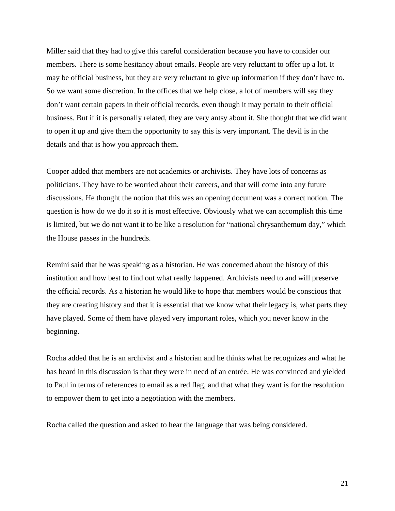Miller said that they had to give this careful consideration because you have to consider our members. There is some hesitancy about emails. People are very reluctant to offer up a lot. It may be official business, but they are very reluctant to give up information if they don't have to. So we want some discretion. In the offices that we help close, a lot of members will say they don't want certain papers in their official records, even though it may pertain to their official business. But if it is personally related, they are very antsy about it. She thought that we did want to open it up and give them the opportunity to say this is very important. The devil is in the details and that is how you approach them.

Cooper added that members are not academics or archivists. They have lots of concerns as politicians. They have to be worried about their careers, and that will come into any future discussions. He thought the notion that this was an opening document was a correct notion. The question is how do we do it so it is most effective. Obviously what we can accomplish this time is limited, but we do not want it to be like a resolution for "national chrysanthemum day," which the House passes in the hundreds.

Remini said that he was speaking as a historian. He was concerned about the history of this institution and how best to find out what really happened. Archivists need to and will preserve the official records. As a historian he would like to hope that members would be conscious that they are creating history and that it is essential that we know what their legacy is, what parts they have played. Some of them have played very important roles, which you never know in the beginning.

Rocha added that he is an archivist and a historian and he thinks what he recognizes and what he has heard in this discussion is that they were in need of an entrée. He was convinced and yielded to Paul in terms of references to email as a red flag, and that what they want is for the resolution to empower them to get into a negotiation with the members.

Rocha called the question and asked to hear the language that was being considered.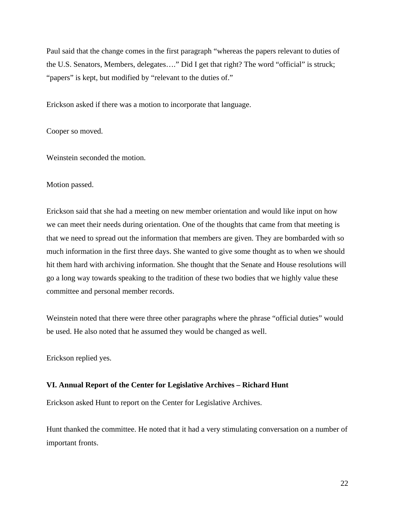Paul said that the change comes in the first paragraph "whereas the papers relevant to duties of the U.S. Senators, Members, delegates…." Did I get that right? The word "official" is struck; "papers" is kept, but modified by "relevant to the duties of."

Erickson asked if there was a motion to incorporate that language.

Cooper so moved.

Weinstein seconded the motion.

### Motion passed.

Erickson said that she had a meeting on new member orientation and would like input on how we can meet their needs during orientation. One of the thoughts that came from that meeting is that we need to spread out the information that members are given. They are bombarded with so much information in the first three days. She wanted to give some thought as to when we should hit them hard with archiving information. She thought that the Senate and House resolutions will go a long way towards speaking to the tradition of these two bodies that we highly value these committee and personal member records.

Weinstein noted that there were three other paragraphs where the phrase "official duties" would be used. He also noted that he assumed they would be changed as well.

Erickson replied yes.

## **VI. Annual Report of the Center for Legislative Archives – Richard Hunt**

Erickson asked Hunt to report on the Center for Legislative Archives.

Hunt thanked the committee. He noted that it had a very stimulating conversation on a number of important fronts.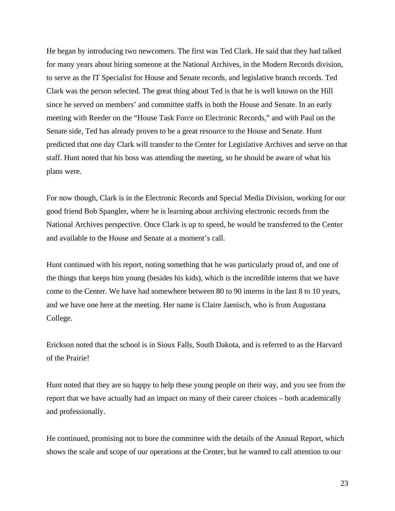He began by introducing two newcomers. The first was Ted Clark. He said that they had talked for many years about hiring someone at the National Archives, in the Modern Records division, to serve as the IT Specialist for House and Senate records, and legislative branch records. Ted Clark was the person selected. The great thing about Ted is that he is well known on the Hill since he served on members' and committee staffs in both the House and Senate. In an early meeting with Reeder on the "House Task Force on Electronic Records," and with Paul on the Senate side, Ted has already proven to be a great resource to the House and Senate. Hunt predicted that one day Clark will transfer to the Center for Legislative Archives and serve on that staff. Hunt noted that his boss was attending the meeting, so he should be aware of what his plans were.

For now though, Clark is in the Electronic Records and Special Media Division, working for our good friend Bob Spangler, where he is learning about archiving electronic records from the National Archives perspective. Once Clark is up to speed, he would be transferred to the Center and available to the House and Senate at a moment's call.

Hunt continued with his report, noting something that he was particularly proud of, and one of the things that keeps him young (besides his kids), which is the incredible interns that we have come to the Center. We have had somewhere between 80 to 90 interns in the last 8 to 10 years, and we have one here at the meeting. Her name is Claire Jaenisch, who is from Augustana College.

Erickson noted that the school is in Sioux Falls, South Dakota, and is referred to as the Harvard of the Prairie!

Hunt noted that they are so happy to help these young people on their way, and you see from the report that we have actually had an impact on many of their career choices – both academically and professionally.

He continued, promising not to bore the committee with the details of the Annual Report, which shows the scale and scope of our operations at the Center, but he wanted to call attention to our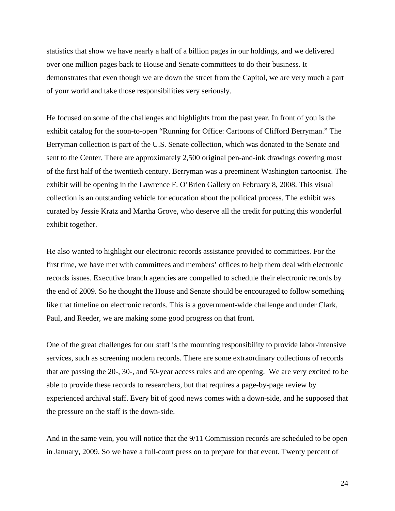statistics that show we have nearly a half of a billion pages in our holdings, and we delivered over one million pages back to House and Senate committees to do their business. It demonstrates that even though we are down the street from the Capitol, we are very much a part of your world and take those responsibilities very seriously.

He focused on some of the challenges and highlights from the past year. In front of you is the exhibit catalog for the soon-to-open "Running for Office: Cartoons of Clifford Berryman." The Berryman collection is part of the U.S. Senate collection, which was donated to the Senate and sent to the Center. There are approximately 2,500 original pen-and-ink drawings covering most of the first half of the twentieth century. Berryman was a preeminent Washington cartoonist. The exhibit will be opening in the Lawrence F. O'Brien Gallery on February 8, 2008. This visual collection is an outstanding vehicle for education about the political process. The exhibit was curated by Jessie Kratz and Martha Grove, who deserve all the credit for putting this wonderful exhibit together.

He also wanted to highlight our electronic records assistance provided to committees. For the first time, we have met with committees and members' offices to help them deal with electronic records issues. Executive branch agencies are compelled to schedule their electronic records by the end of 2009. So he thought the House and Senate should be encouraged to follow something like that timeline on electronic records. This is a government-wide challenge and under Clark, Paul, and Reeder, we are making some good progress on that front.

One of the great challenges for our staff is the mounting responsibility to provide labor-intensive services, such as screening modern records. There are some extraordinary collections of records that are passing the 20-, 30-, and 50-year access rules and are opening. We are very excited to be able to provide these records to researchers, but that requires a page-by-page review by experienced archival staff. Every bit of good news comes with a down-side, and he supposed that the pressure on the staff is the down-side.

And in the same vein, you will notice that the 9/11 Commission records are scheduled to be open in January, 2009. So we have a full-court press on to prepare for that event. Twenty percent of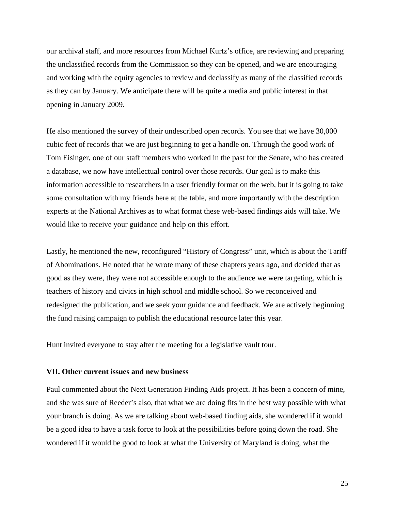our archival staff, and more resources from Michael Kurtz's office, are reviewing and preparing the unclassified records from the Commission so they can be opened, and we are encouraging and working with the equity agencies to review and declassify as many of the classified records as they can by January. We anticipate there will be quite a media and public interest in that opening in January 2009.

He also mentioned the survey of their undescribed open records. You see that we have 30,000 cubic feet of records that we are just beginning to get a handle on. Through the good work of Tom Eisinger, one of our staff members who worked in the past for the Senate, who has created a database, we now have intellectual control over those records. Our goal is to make this information accessible to researchers in a user friendly format on the web, but it is going to take some consultation with my friends here at the table, and more importantly with the description experts at the National Archives as to what format these web-based findings aids will take. We would like to receive your guidance and help on this effort.

Lastly, he mentioned the new, reconfigured "History of Congress" unit, which is about the Tariff of Abominations. He noted that he wrote many of these chapters years ago, and decided that as good as they were, they were not accessible enough to the audience we were targeting, which is teachers of history and civics in high school and middle school. So we reconceived and redesigned the publication, and we seek your guidance and feedback. We are actively beginning the fund raising campaign to publish the educational resource later this year.

Hunt invited everyone to stay after the meeting for a legislative vault tour.

#### **VII. Other current issues and new business**

Paul commented about the Next Generation Finding Aids project. It has been a concern of mine, and she was sure of Reeder's also, that what we are doing fits in the best way possible with what your branch is doing. As we are talking about web-based finding aids, she wondered if it would be a good idea to have a task force to look at the possibilities before going down the road. She wondered if it would be good to look at what the University of Maryland is doing, what the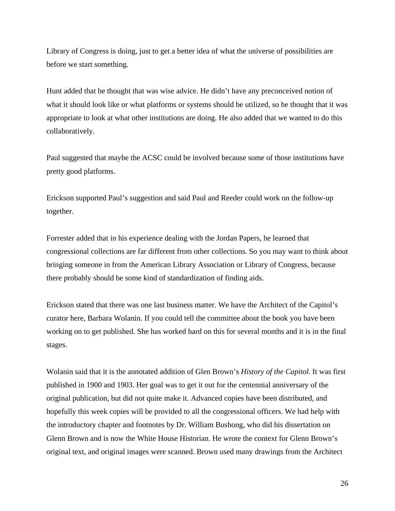Library of Congress is doing, just to get a better idea of what the universe of possibilities are before we start something.

Hunt added that he thought that was wise advice. He didn't have any preconceived notion of what it should look like or what platforms or systems should be utilized, so he thought that it was appropriate to look at what other institutions are doing. He also added that we wanted to do this collaboratively.

Paul suggested that maybe the ACSC could be involved because some of those institutions have pretty good platforms.

Erickson supported Paul's suggestion and said Paul and Reeder could work on the follow-up together.

Forrester added that in his experience dealing with the Jordan Papers, he learned that congressional collections are far different from other collections. So you may want to think about bringing someone in from the American Library Association or Library of Congress, because there probably should be some kind of standardization of finding aids.

Erickson stated that there was one last business matter. We have the Architect of the Capitol's curator here, Barbara Wolanin. If you could tell the committee about the book you have been working on to get published. She has worked hard on this for several months and it is in the final stages.

Wolanin said that it is the annotated addition of Glen Brown's *History of the Capitol*. It was first published in 1900 and 1903. Her goal was to get it out for the centennial anniversary of the original publication, but did not quite make it. Advanced copies have been distributed, and hopefully this week copies will be provided to all the congressional officers. We had help with the introductory chapter and footnotes by Dr. William Bushong, who did his dissertation on Glenn Brown and is now the White House Historian. He wrote the context for Glenn Brown's original text, and original images were scanned. Brown used many drawings from the Architect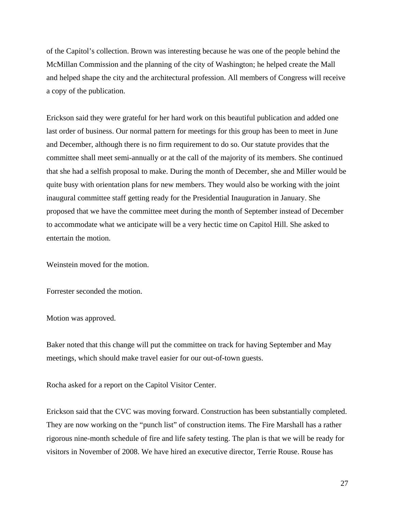of the Capitol's collection. Brown was interesting because he was one of the people behind the McMillan Commission and the planning of the city of Washington; he helped create the Mall and helped shape the city and the architectural profession. All members of Congress will receive a copy of the publication.

Erickson said they were grateful for her hard work on this beautiful publication and added one last order of business. Our normal pattern for meetings for this group has been to meet in June and December, although there is no firm requirement to do so. Our statute provides that the committee shall meet semi-annually or at the call of the majority of its members. She continued that she had a selfish proposal to make. During the month of December, she and Miller would be quite busy with orientation plans for new members. They would also be working with the joint inaugural committee staff getting ready for the Presidential Inauguration in January. She proposed that we have the committee meet during the month of September instead of December to accommodate what we anticipate will be a very hectic time on Capitol Hill. She asked to entertain the motion.

Weinstein moved for the motion.

Forrester seconded the motion.

Motion was approved.

Baker noted that this change will put the committee on track for having September and May meetings, which should make travel easier for our out-of-town guests.

Rocha asked for a report on the Capitol Visitor Center.

Erickson said that the CVC was moving forward. Construction has been substantially completed. They are now working on the "punch list" of construction items. The Fire Marshall has a rather rigorous nine-month schedule of fire and life safety testing. The plan is that we will be ready for visitors in November of 2008. We have hired an executive director, Terrie Rouse. Rouse has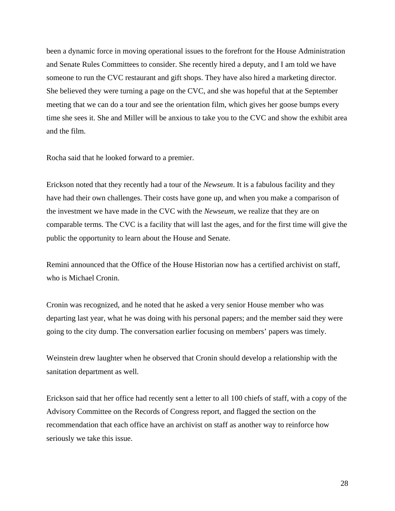been a dynamic force in moving operational issues to the forefront for the House Administration and Senate Rules Committees to consider. She recently hired a deputy, and I am told we have someone to run the CVC restaurant and gift shops. They have also hired a marketing director. She believed they were turning a page on the CVC, and she was hopeful that at the September meeting that we can do a tour and see the orientation film, which gives her goose bumps every time she sees it. She and Miller will be anxious to take you to the CVC and show the exhibit area and the film.

Rocha said that he looked forward to a premier.

Erickson noted that they recently had a tour of the *Newseum*. It is a fabulous facility and they have had their own challenges. Their costs have gone up, and when you make a comparison of the investment we have made in the CVC with the *Newseum*, we realize that they are on comparable terms. The CVC is a facility that will last the ages, and for the first time will give the public the opportunity to learn about the House and Senate.

Remini announced that the Office of the House Historian now has a certified archivist on staff, who is Michael Cronin.

Cronin was recognized, and he noted that he asked a very senior House member who was departing last year, what he was doing with his personal papers; and the member said they were going to the city dump. The conversation earlier focusing on members' papers was timely.

Weinstein drew laughter when he observed that Cronin should develop a relationship with the sanitation department as well.

Erickson said that her office had recently sent a letter to all 100 chiefs of staff, with a copy of the Advisory Committee on the Records of Congress report, and flagged the section on the recommendation that each office have an archivist on staff as another way to reinforce how seriously we take this issue.